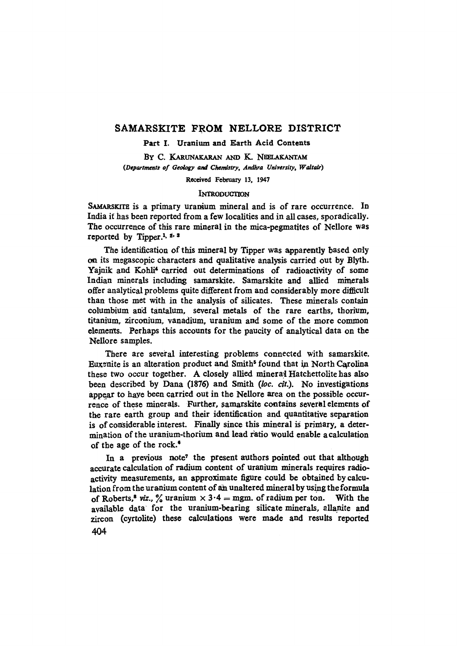# SAMARSKITE FROM NELLORE DISTRICT

Part I. Uranium and Earth Acid Contents

BY C. KARUNAKARAN AND K. NEELAKANTAM *(Departments of Geology and Chemistry, Andhra University, Waltair)* 

Received February 13, 1947

### INTRODUCTION

SAMARSKITE is a primary uranium mineral and is of rare occurrence. In India it has been reported from a few localities and in all cases, sporadically. The occurrence of this rare mineral in the mica-pegmatites of Nellore was reported by Tipper.<sup>1,  $\dot{z}$ ,  $\dot{s}$ </sup>

The identification of this mineral by Tipper was apparently based only on its megascopic characters and qualitative analysis carried out by Blyth. Yajnik and Kohli<sup>4</sup> carried out determinations of radioactivity of some Indian minerals including samarskite. Samarskite and allied minerals offer analytical problems quite different from and considerably more diflicult than those met with in the analysis of silicates. These minerals contain columbium and tantalum, several metals of the rare earths, thorium, titanium, zirconium, vanadium, uranium and some of the more common elements. Perhaps this accounts for the paucity of analytical data on the Nellore samples.

There are several interesting problems connected with samarskite. Euxenite is an alteration product and Smith<sup>5</sup> found that in North Carolina these two occur together. A closely allied mineral Hatchettolite has also been described by Dana (1876) and Smith *(loc. cit.)*. No investigations appear to have been carried out in the Nellore area on the possible occurrence of these minerals. Further, samarskite contains several elements of the rare earth group and their identification and quantitative separation is of considerable interest. FinaUy since this mineral is primary, a determination of the uranium-thorium and lead ratio would enable a calculation of the age of the rock.\*

In a previous note<sup>7</sup> the present authors pointed out that although accurate calculation of radium content of uranium minerals requires radioactivity measurements, an approximate figure could be obtained by calculation from the uranium content of an unaltered mineral by using the formula of Roberts,<sup>8</sup> viz.,  $\frac{9}{4}$  uranium  $\times$  3.4 = mgm. of radium per ton. With the available data for the uranium-bearing silicate minerals, allanite and zircon (cyrtolite) these calculations were made and results reported 4O4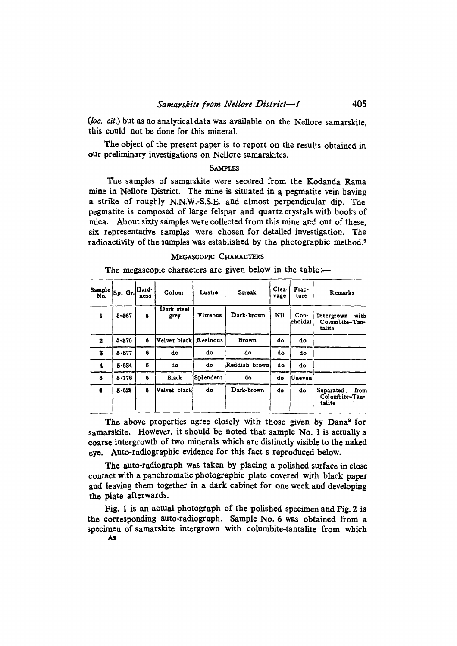(loc. cit.) but as no analytical data was available on the Nellore samarskite, this could not be done for this mineral.

The object of the present paper is to report on the results obtained in our preliminary investigations on Nellore samarskites.

### **SAMPLES**

The samples of samarskite were secured from the Kodanda Rama mine in Nellore District. The mine is situated in a pegmatite vein having a strike of roughly N.N.W.-S.S.E. and almost perpendicular dip. The pegmatite is composed of large felspar and quartz crystals with books of mica. About sixty samples were collected from this mine and out of these, six representative samples were chosen for detailed investigation. The radioactivity of the samples was established by the photographic method.7

#### MEGASCOPIC CHARACTERS

The megascopic characters are given below in the table:-

| Sample $ $ Sp. Gr.<br>No.      |           | Hard-<br>ness      | Colour                | Lustre     | <b>Streak</b> | Clea-<br>vage            | $Frac{.}{.}$<br>ture                           | Remarks                                       |
|--------------------------------|-----------|--------------------|-----------------------|------------|---------------|--------------------------|------------------------------------------------|-----------------------------------------------|
| $\mathbf{I}$<br>$5 - 567$<br>Б |           | Dark steel<br>grey | Vitreous              | Dark-brown | Nil           | $Con-$<br><b>choidal</b> | Intergrown<br>with<br>Columbite-Tan-<br>talite |                                               |
| $\overline{\mathbf{2}}$        | $5 - 570$ | 6                  | Velvet black Resinous |            | <b>Brown</b>  | do                       | do                                             |                                               |
| $\mathbf{z}$                   | 5.677     | 6                  | do                    | do         | do            | do                       | do                                             |                                               |
| 4                              | 5.634     | 6                  | do                    | do         | Reddish brown | do                       | do                                             |                                               |
| 5                              | $5 - 776$ | 6                  | Black                 | Splendent  | do            | do                       | Uneven                                         |                                               |
|                                | $5 - 628$ | 6                  | Velvet black          | do         | Dark-brown    | do                       | do                                             | Separated<br>from<br>Columbite-Tan-<br>talite |

The above properties agree closely with those given by Dana<sup>9</sup> for samarskite. However, it should be noted that sample No. 1 is actually a coarse intergrowth of two minerals which are distinctly visible to the naked eve. Auto-radiographic evidence for this fact s reproduced below.

The auto-radiograph was taken by placing a polished surface in close contact with a panchromatic photographic plate covered with black paper and leaving them together in a dark cabinet for one week and developing the plate afterwards.

Fig. 1 is an actual photograph of the polished specimen and Fig. 2 is the corresponding auto-radiograph. Sample No. 6 was obtained from a specimen of samarskite intergrown with columbite-tantalite from which A<sub>2</sub>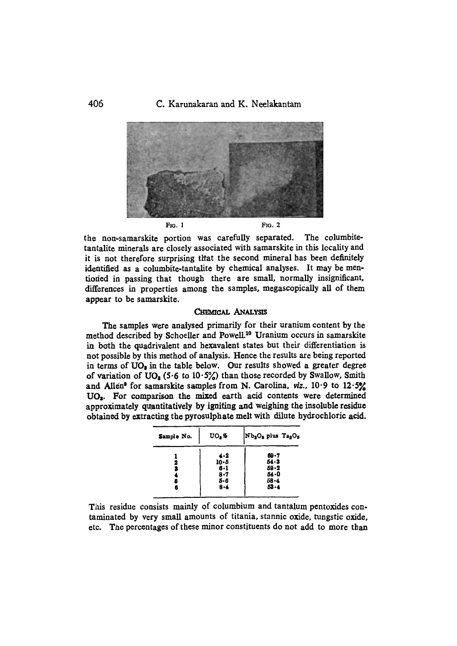C. Karunakaran and K. Neelakantam



the non-samarskite portion was carefully separated. The columbitetantalite minerals are closely associated with samarskite in this locality and it is not therefore surprising that the second mineral has been definitely identified as a columbite-tantalite by chemical analyses. It may be mentioned in passing that though there are small, normally insignificant, differences in properties among the samples, megascopically all of them appear to be samarskite.

#### **CHEMICAL ANALYSIS**

The samples were analysed primarily for their uranium content by the method described by Schoeller and Powell.<sup>10</sup> Uranium occurs in samarskite in both the quadrivalent and hexavalent states but their differentiation is not possible by this method of analysis. Hence the results are being reported in terms of UO<sub>2</sub> in the table below. Our results showed a greater degree of variation of  $UO_3$  (5.6 to 10.5%) than those recorded by Swallow, Smith and Allen<sup>9</sup> for samarskite samples from N. Carolina, viz.,  $10.9$  to  $12.5\%$ UO<sub>3</sub>. For comparison the mixed earth acid contents were determined approximately quantitatively by igniting and weighing the insoluble residue obtained by extracting the pyrosulphate melt with dilute hydrochloric acid.

| Sample No.  | UO, %                                                   | Nb <sub>2</sub> O <sub>5</sub> plus Ta <sub>2</sub> O <sub>5</sub> |  |  |
|-------------|---------------------------------------------------------|--------------------------------------------------------------------|--|--|
| 2<br>3<br>6 | 4.2<br>$10 - 5$<br>$6 - 1$<br>$8 - 7$<br>5-6<br>$8 - 4$ | 69.7<br>$54 - 3$<br>$59 - 2$<br>54.0<br>58-4<br>$53 - 4$           |  |  |

This residue consists mainly of columbium and tantalum pentoxides contaminated by very small amounts of titania, stannic oxide, tungstic oxide. etc. The percentages of these minor constituents do not add to more than